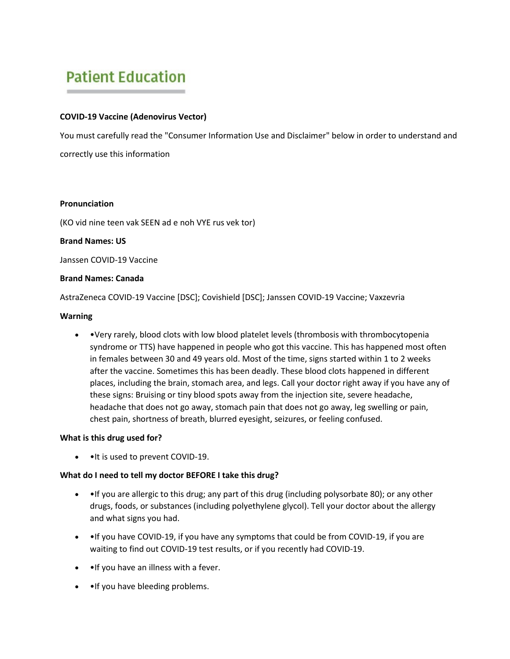# **Patient Education**

# **COVID-19 Vaccine (Adenovirus Vector)**

You must carefully read the "Consumer Information Use and Disclaimer" below in order to understand and correctly use this information

### **Pronunciation**

(KO vid nine teen vak SEEN ad e noh VYE rus vek tor)

# **Brand Names: US**

Janssen COVID-19 Vaccine

### **Brand Names: Canada**

AstraZeneca COVID-19 Vaccine [DSC]; Covishield [DSC]; Janssen COVID-19 Vaccine; Vaxzevria

### **Warning**

• •Very rarely, blood clots with low blood platelet levels (thrombosis with thrombocytopenia syndrome or TTS) have happened in people who got this vaccine. This has happened most often in females between 30 and 49 years old. Most of the time, signs started within 1 to 2 weeks after the vaccine. Sometimes this has been deadly. These blood clots happened in different places, including the brain, stomach area, and legs. Call your doctor right away if you have any of these signs: Bruising or tiny blood spots away from the injection site, severe headache, headache that does not go away, stomach pain that does not go away, leg swelling or pain, chest pain, shortness of breath, blurred eyesight, seizures, or feeling confused.

# **What is this drug used for?**

• •It is used to prevent COVID-19.

# **What do I need to tell my doctor BEFORE I take this drug?**

- • If you are allergic to this drug; any part of this drug (including polysorbate 80); or any other drugs, foods, or substances (including polyethylene glycol). Tell your doctor about the allergy and what signs you had.
- • If you have COVID-19, if you have any symptoms that could be from COVID-19, if you are waiting to find out COVID-19 test results, or if you recently had COVID-19.
- •If you have an illness with a fever.
- • If you have bleeding problems.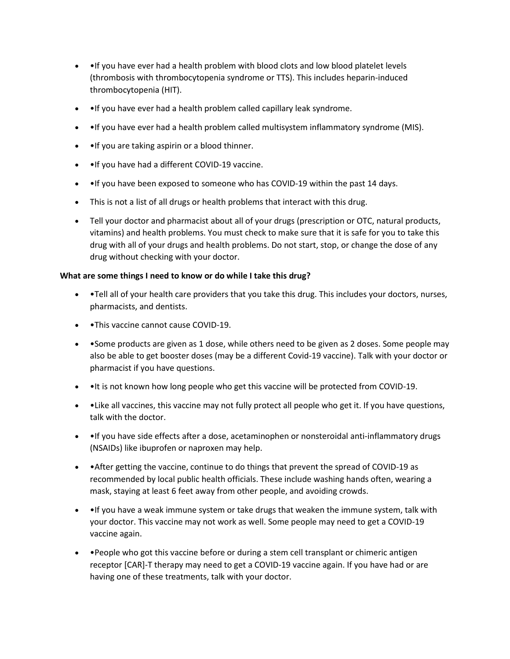- • If you have ever had a health problem with blood clots and low blood platelet levels (thrombosis with thrombocytopenia syndrome or TTS). This includes heparin-induced thrombocytopenia (HIT).
- •If you have ever had a health problem called capillary leak syndrome.
- •If you have ever had a health problem called multisystem inflammatory syndrome (MIS).
- •If you are taking aspirin or a blood thinner.
- •If you have had a different COVID-19 vaccine.
- • If you have been exposed to someone who has COVID-19 within the past 14 days.
- This is not a list of all drugs or health problems that interact with this drug.
- Tell your doctor and pharmacist about all of your drugs (prescription or OTC, natural products, vitamins) and health problems. You must check to make sure that it is safe for you to take this drug with all of your drugs and health problems. Do not start, stop, or change the dose of any drug without checking with your doctor.

### **What are some things I need to know or do while I take this drug?**

- •Tell all of your health care providers that you take this drug. This includes your doctors, nurses, pharmacists, and dentists.
- • This vaccine cannot cause COVID-19.
- • Some products are given as 1 dose, while others need to be given as 2 doses. Some people may also be able to get booster doses (may be a different Covid-19 vaccine). Talk with your doctor or pharmacist if you have questions.
- • It is not known how long people who get this vaccine will be protected from COVID-19.
- •Like all vaccines, this vaccine may not fully protect all people who get it. If you have questions, talk with the doctor.
- • If you have side effects after a dose, acetaminophen or nonsteroidal anti-inflammatory drugs (NSAIDs) like ibuprofen or naproxen may help.
- •After getting the vaccine, continue to do things that prevent the spread of COVID-19 as recommended by local public health officials. These include washing hands often, wearing a mask, staying at least 6 feet away from other people, and avoiding crowds.
- •If you have a weak immune system or take drugs that weaken the immune system, talk with your doctor. This vaccine may not work as well. Some people may need to get a COVID-19 vaccine again.
- • People who got this vaccine before or during a stem cell transplant or chimeric antigen receptor [CAR]-T therapy may need to get a COVID-19 vaccine again. If you have had or are having one of these treatments, talk with your doctor.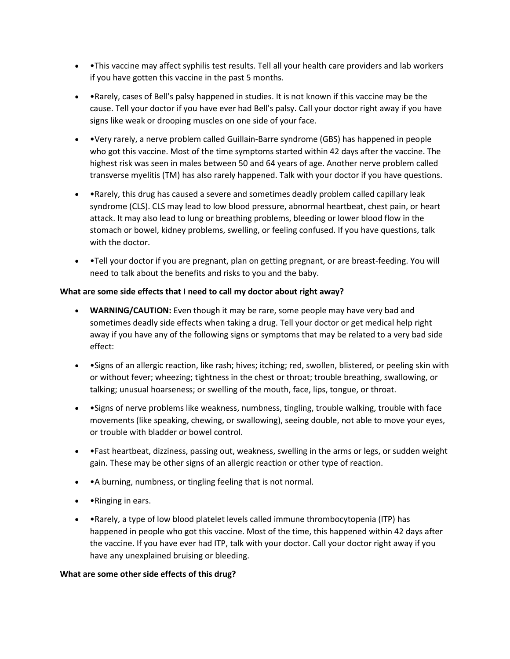- •This vaccine may affect syphilis test results. Tell all your health care providers and lab workers if you have gotten this vaccine in the past 5 months.
- •Rarely, cases of Bell's palsy happened in studies. It is not known if this vaccine may be the cause. Tell your doctor if you have ever had Bell's palsy. Call your doctor right away if you have signs like weak or drooping muscles on one side of your face.
- •Very rarely, a nerve problem called Guillain-Barre syndrome (GBS) has happened in people who got this vaccine. Most of the time symptoms started within 42 days after the vaccine. The highest risk was seen in males between 50 and 64 years of age. Another nerve problem called transverse myelitis (TM) has also rarely happened. Talk with your doctor if you have questions.
- •Rarely, this drug has caused a severe and sometimes deadly problem called capillary leak syndrome (CLS). CLS may lead to low blood pressure, abnormal heartbeat, chest pain, or heart attack. It may also lead to lung or breathing problems, bleeding or lower blood flow in the stomach or bowel, kidney problems, swelling, or feeling confused. If you have questions, talk with the doctor.
- •Tell your doctor if you are pregnant, plan on getting pregnant, or are breast-feeding. You will need to talk about the benefits and risks to you and the baby.

# **What are some side effects that I need to call my doctor about right away?**

- **WARNING/CAUTION:** Even though it may be rare, some people may have very bad and sometimes deadly side effects when taking a drug. Tell your doctor or get medical help right away if you have any of the following signs or symptoms that may be related to a very bad side effect:
- •Signs of an allergic reaction, like rash; hives; itching; red, swollen, blistered, or peeling skin with or without fever; wheezing; tightness in the chest or throat; trouble breathing, swallowing, or talking; unusual hoarseness; or swelling of the mouth, face, lips, tongue, or throat.
- •Signs of nerve problems like weakness, numbness, tingling, trouble walking, trouble with face movements (like speaking, chewing, or swallowing), seeing double, not able to move your eyes, or trouble with bladder or bowel control.
- •Fast heartbeat, dizziness, passing out, weakness, swelling in the arms or legs, or sudden weight gain. These may be other signs of an allergic reaction or other type of reaction.
- •A burning, numbness, or tingling feeling that is not normal.
- • Ringing in ears.
- •Rarely, a type of low blood platelet levels called immune thrombocytopenia (ITP) has happened in people who got this vaccine. Most of the time, this happened within 42 days after the vaccine. If you have ever had ITP, talk with your doctor. Call your doctor right away if you have any unexplained bruising or bleeding.

# **What are some other side effects of this drug?**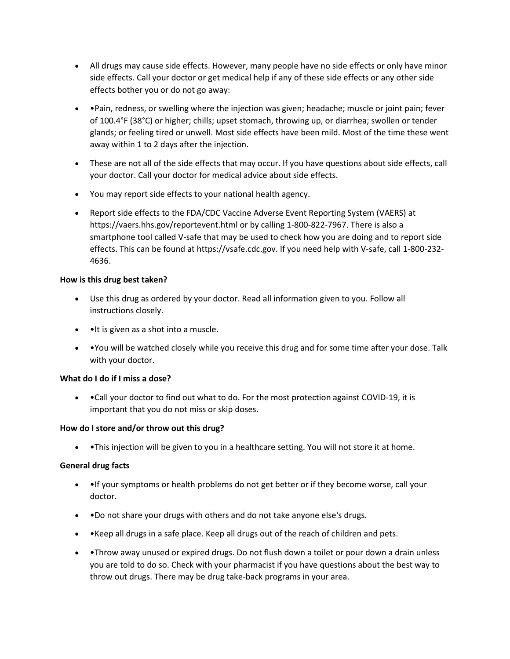- All drugs may cause side effects. However, many people have no side effects or only have minor side effects. Call your doctor or get medical help if any of these side effects or any other side effects bother you or do not go away:
- •Pain, redness, or swelling where the injection was given; headache; muscle or joint pain; fever of 100.4°F (38°C) or higher; chills; upset stomach, throwing up, or diarrhea; swollen or tender glands; or feeling tired or unwell. Most side effects have been mild. Most of the time these went away within 1 to 2 days after the injection.
- These are not all of the side effects that may occur. If you have questions about side effects, call your doctor. Call your doctor for medical advice about side effects.
- You may report side effects to your national health agency.
- Report side effects to the FDA/CDC Vaccine Adverse Event Reporting System (VAERS) at https://vaers.hhs.gov/reportevent.html or by calling 1-800-822-7967. There is also a smartphone tool called V-safe that may be used to check how you are doing and to report side effects. This can be found at https://vsafe.cdc.gov. If you need help with V-safe, call 1-800-232- 4636.

# **How is this drug best taken?**

- Use this drug as ordered by your doctor. Read all information given to you. Follow all instructions closely.
- • It is given as a shot into a muscle.
- •You will be watched closely while you receive this drug and for some time after your dose. Talk with your doctor.

# **What do I do if I miss a dose?**

• •Call your doctor to find out what to do. For the most protection against COVID-19, it is important that you do not miss or skip doses.

# **How do I store and/or throw out this drug?**

• • This injection will be given to you in a healthcare setting. You will not store it at home.

# **General drug facts**

- • If your symptoms or health problems do not get better or if they become worse, call your doctor.
- •Do not share your drugs with others and do not take anyone else's drugs.
- •Keep all drugs in a safe place. Keep all drugs out of the reach of children and pets.
- • Throw away unused or expired drugs. Do not flush down a toilet or pour down a drain unless you are told to do so. Check with your pharmacist if you have questions about the best way to throw out drugs. There may be drug take-back programs in your area.